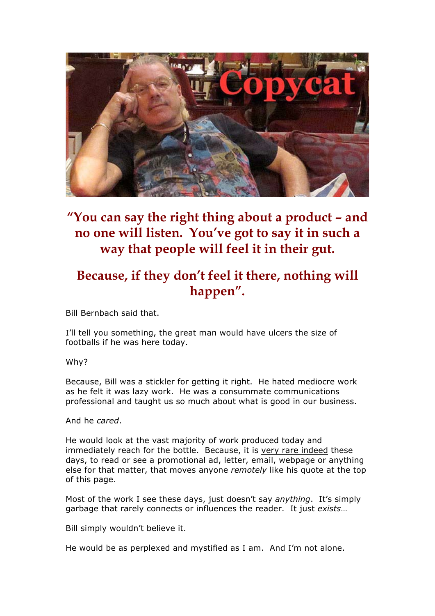

## **"You can say the right thing about a product – and no one will listen. You've got to say it in such a way that people will feel it in their gut.**

### **Because, if they don't feel it there, nothing will happen".**

Bill Bernbach said that.

I'll tell you something, the great man would have ulcers the size of footballs if he was here today.

Why?

Because, Bill was a stickler for getting it right. He hated mediocre work as he felt it was lazy work. He was a consummate communications professional and taught us so much about what is good in our business.

And he *cared*.

He would look at the vast majority of work produced today and immediately reach for the bottle. Because, it is very rare indeed these days, to read or see a promotional ad, letter, email, webpage or anything else for that matter, that moves anyone *remotely* like his quote at the top of this page.

Most of the work I see these days, just doesn't say *anything*. It's simply garbage that rarely connects or influences the reader. It just *exists*…

Bill simply wouldn't believe it.

He would be as perplexed and mystified as I am. And I'm not alone.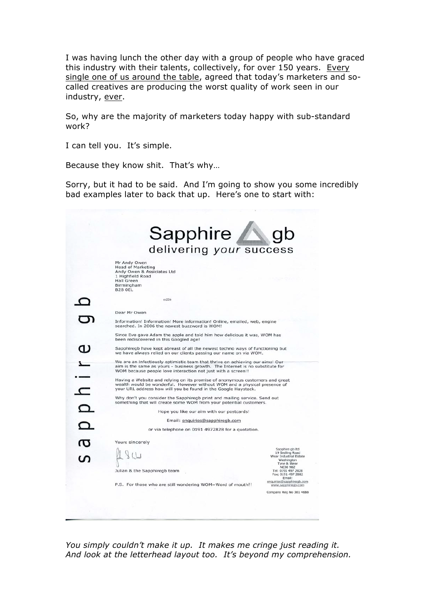I was having lunch the other day with a group of people who have graced this industry with their talents, collectively, for over 150 years. Every single one of us around the table, agreed that today's marketers and socalled creatives are producing the worst quality of work seen in our industry, ever.

So, why are the majority of marketers today happy with sub-standard work?

I can tell you. It's simple.

Because they know shit. That's why…

Sorry, but it had to be said. And I'm going to show you some incredibly bad examples later to back that up. Here's one to start with:

|           | Sapphire                                                                                                                                                                                                                                                                                                                                                                       |                                                                                           |  |
|-----------|--------------------------------------------------------------------------------------------------------------------------------------------------------------------------------------------------------------------------------------------------------------------------------------------------------------------------------------------------------------------------------|-------------------------------------------------------------------------------------------|--|
|           | delivering your success                                                                                                                                                                                                                                                                                                                                                        |                                                                                           |  |
|           | Mr Andy Owen<br><b>Head of Marketing</b><br>Andy Owen & Assiciates Ltd<br>1 Highfield Road<br><b>Hall Green</b><br>Birmingham<br><b>B28 OEL</b>                                                                                                                                                                                                                                |                                                                                           |  |
|           | m226                                                                                                                                                                                                                                                                                                                                                                           |                                                                                           |  |
|           | Dear Mr Owen                                                                                                                                                                                                                                                                                                                                                                   |                                                                                           |  |
|           | Information! Information! More information! Online, emailed, web, engine<br>searched. In 2006 the newest buzzword is WOM!                                                                                                                                                                                                                                                      |                                                                                           |  |
|           | Since Eve gave Adam the apple and told him how delicious it was, WOM has<br>been rediscovered in this Googled age!                                                                                                                                                                                                                                                             |                                                                                           |  |
|           | Sapphiregb have kept abreast of all the newest techno ways of functioning but<br>we have always relied on our clients passing our name on via WOM.                                                                                                                                                                                                                             |                                                                                           |  |
|           | We are an infectiously optimistic team that thrive on achieving our aims! Our<br>aim is the same as yours - business growth. The Internet is no substitute for<br>WOM because people love interaction not just with a screen!!                                                                                                                                                 |                                                                                           |  |
| $\subset$ | Having a Website and relying on its promise of anonymous customers and great<br>wealth would be wonderful. However without WOM and a physical presence of<br>your URL address how will you be found in the Google Haystack.<br>Why don't you consider the Sapphiregb print and mailing service. Send out<br>something that will create some WOM from your potential customers. |                                                                                           |  |
|           |                                                                                                                                                                                                                                                                                                                                                                                |                                                                                           |  |
|           | Hope you like our aim with our postcards!                                                                                                                                                                                                                                                                                                                                      |                                                                                           |  |
|           | Email: enquiries@sapphiregb.com                                                                                                                                                                                                                                                                                                                                                |                                                                                           |  |
|           | or via telephone on 0191 4972828 for a quotation.                                                                                                                                                                                                                                                                                                                              |                                                                                           |  |
|           | Yours sincerely                                                                                                                                                                                                                                                                                                                                                                |                                                                                           |  |
|           |                                                                                                                                                                                                                                                                                                                                                                                | Sapphire gb Itd<br>19 Sedling Road<br>Wear Industrial Estate<br>Washington<br>Tyne & Wear |  |
|           | Julian & the Sapphiregb team                                                                                                                                                                                                                                                                                                                                                   | <b>NE38 9BZ</b><br>Tel: 0191 497 2828<br>Fax; 0191 497 2882<br>Fmail:                     |  |
|           | P.S. For those who are still wondering WOM=Word of mouth!!                                                                                                                                                                                                                                                                                                                     | enquiries@sapphiregb.com<br>www.sapphiregb.com                                            |  |
|           |                                                                                                                                                                                                                                                                                                                                                                                | Company Reg No 381 4688                                                                   |  |
|           |                                                                                                                                                                                                                                                                                                                                                                                |                                                                                           |  |

*You simply couldn't make it up. It makes me cringe just reading it. And look at the letterhead layout too. It's beyond my comprehension.*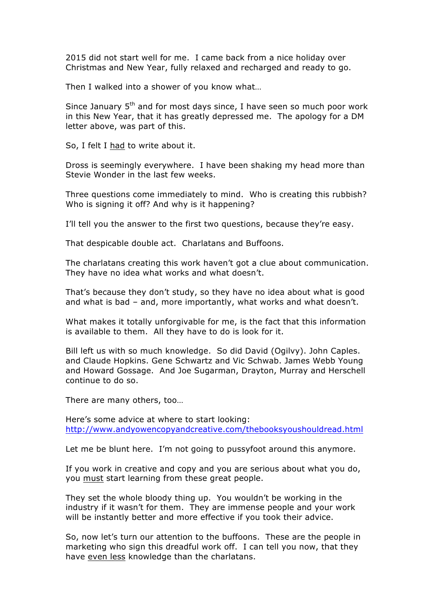2015 did not start well for me. I came back from a nice holiday over Christmas and New Year, fully relaxed and recharged and ready to go.

Then I walked into a shower of you know what…

Since January  $5<sup>th</sup>$  and for most days since, I have seen so much poor work in this New Year, that it has greatly depressed me. The apology for a DM letter above, was part of this.

So, I felt I had to write about it.

Dross is seemingly everywhere. I have been shaking my head more than Stevie Wonder in the last few weeks.

Three questions come immediately to mind. Who is creating this rubbish? Who is signing it off? And why is it happening?

I'll tell you the answer to the first two questions, because they're easy.

That despicable double act. Charlatans and Buffoons.

The charlatans creating this work haven't got a clue about communication. They have no idea what works and what doesn't.

That's because they don't study, so they have no idea about what is good and what is bad – and, more importantly, what works and what doesn't.

What makes it totally unforgivable for me, is the fact that this information is available to them. All they have to do is look for it.

Bill left us with so much knowledge. So did David (Ogilvy). John Caples. and Claude Hopkins. Gene Schwartz and Vic Schwab. James Webb Young and Howard Gossage. And Joe Sugarman, Drayton, Murray and Herschell continue to do so.

There are many others, too…

Here's some advice at where to start looking: http://www.andyowencopyandcreative.com/thebooksyoushouldread.html

Let me be blunt here. I'm not going to pussyfoot around this anymore.

If you work in creative and copy and you are serious about what you do, you must start learning from these great people.

They set the whole bloody thing up. You wouldn't be working in the industry if it wasn't for them. They are immense people and your work will be instantly better and more effective if you took their advice.

So, now let's turn our attention to the buffoons. These are the people in marketing who sign this dreadful work off. I can tell you now, that they have even less knowledge than the charlatans.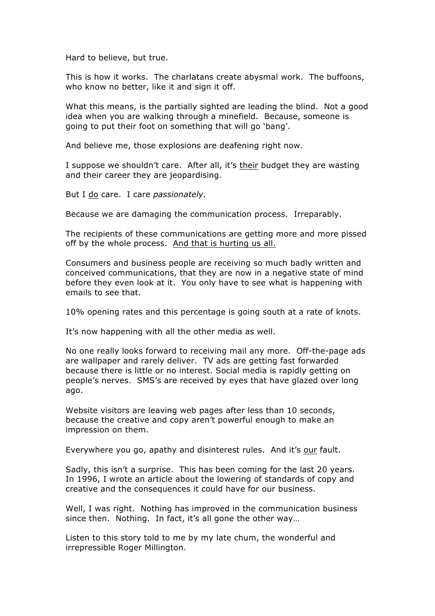Hard to believe, but true.

This is how it works. The charlatans create abysmal work. The buffoons, who know no better, like it and sign it off.

What this means, is the partially sighted are leading the blind. Not a good idea when you are walking through a minefield. Because, someone is going to put their foot on something that will go 'bang'.

And believe me, those explosions are deafening right now.

I suppose we shouldn't care. After all, it's their budget they are wasting and their career they are jeopardising.

But I do care. I care *passionately.*

Because we are damaging the communication process. Irreparably.

The recipients of these communications are getting more and more pissed off by the whole process. And that is hurting us all.

Consumers and business people are receiving so much badly written and conceived communications, that they are now in a negative state of mind before they even look at it. You only have to see what is happening with emails to see that.

10% opening rates and this percentage is going south at a rate of knots.

It's now happening with all the other media as well.

No one really looks forward to receiving mail any more. Off-the-page ads are wallpaper and rarely deliver. TV ads are getting fast forwarded because there is little or no interest. Social media is rapidly getting on people's nerves. SMS's are received by eyes that have glazed over long ago.

Website visitors are leaving web pages after less than 10 seconds, because the creative and copy aren't powerful enough to make an impression on them.

Everywhere you go, apathy and disinterest rules. And it's our fault.

Sadly, this isn't a surprise. This has been coming for the last 20 years. In 1996, I wrote an article about the lowering of standards of copy and creative and the consequences it could have for our business.

Well, I was right. Nothing has improved in the communication business since then. Nothing. In fact, it's all gone the other way...

Listen to this story told to me by my late chum, the wonderful and irrepressible Roger Millington.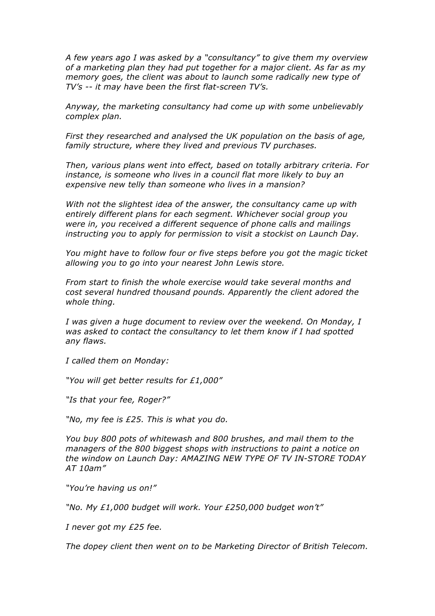*A few years ago I was asked by a "consultancy" to give them my overview of a marketing plan they had put together for a major client. As far as my memory goes, the client was about to launch some radically new type of TV's -- it may have been the first flat-screen TV's.*

*Anyway, the marketing consultancy had come up with some unbelievably complex plan.* 

*First they researched and analysed the UK population on the basis of age, family structure, where they lived and previous TV purchases.* 

*Then, various plans went into effect, based on totally arbitrary criteria. For instance, is someone who lives in a council flat more likely to buy an expensive new telly than someone who lives in a mansion?* 

*With not the slightest idea of the answer, the consultancy came up with entirely different plans for each segment. Whichever social group you were in, you received a different sequence of phone calls and mailings instructing you to apply for permission to visit a stockist on Launch Day.* 

*You might have to follow four or five steps before you got the magic ticket allowing you to go into your nearest John Lewis store.*

*From start to finish the whole exercise would take several months and cost several hundred thousand pounds. Apparently the client adored the whole thing.*

*I was given a huge document to review over the weekend. On Monday, I was asked to contact the consultancy to let them know if I had spotted any flaws.*

*I called them on Monday:*

*"You will get better results for £1,000"*

*"Is that your fee, Roger?"*

*"No, my fee is £25. This is what you do.* 

*You buy 800 pots of whitewash and 800 brushes, and mail them to the managers of the 800 biggest shops with instructions to paint a notice on the window on Launch Day: AMAZING NEW TYPE OF TV IN-STORE TODAY AT 10am"*

*"You're having us on!"*

*"No. My £1,000 budget will work. Your £250,000 budget won't"*

*I never got my £25 fee.*

*The dopey client then went on to be Marketing Director of British Telecom.*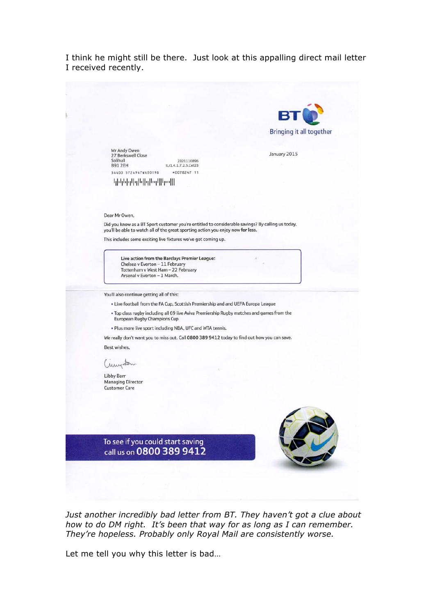I think he might still be there. Just look at this appalling direct mail letter I received recently.



*Just another incredibly bad letter from BT. They haven't got a clue about how to do DM right. It's been that way for as long as I can remember. They're hopeless. Probably only Royal Mail are consistently worse.*

Let me tell you why this letter is bad…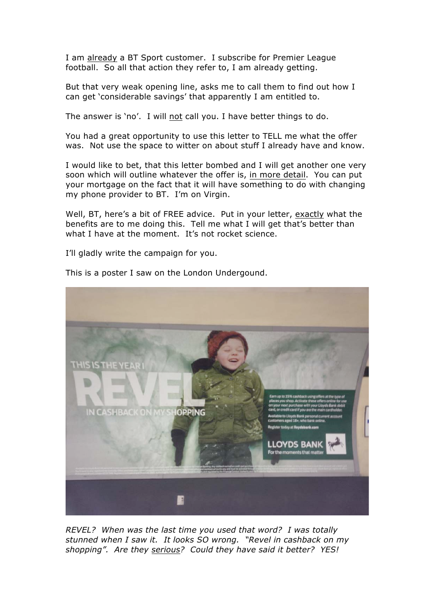I am already a BT Sport customer. I subscribe for Premier League football. So all that action they refer to, I am already getting.

But that very weak opening line, asks me to call them to find out how I can get 'considerable savings' that apparently I am entitled to.

The answer is 'no'. I will not call you. I have better things to do.

You had a great opportunity to use this letter to TELL me what the offer was. Not use the space to witter on about stuff I already have and know.

I would like to bet, that this letter bombed and I will get another one very soon which will outline whatever the offer is, in more detail. You can put your mortgage on the fact that it will have something to do with changing my phone provider to BT. I'm on Virgin.

Well, BT, here's a bit of FREE advice. Put in your letter, exactly what the benefits are to me doing this. Tell me what I will get that's better than what I have at the moment. It's not rocket science.

I'll gladly write the campaign for you.



This is a poster I saw on the London Undergound.

*REVEL? When was the last time you used that word? I was totally stunned when I saw it. It looks SO wrong. "Revel in cashback on my shopping". Are they serious? Could they have said it better? YES!*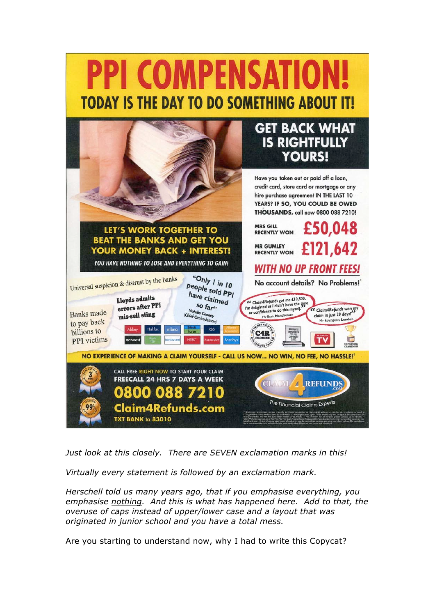# **PPI COMPENSATION TODAY IS THE DAY TO DO SOMETHING ABOUT IT!**



*Just look at this closely. There are SEVEN exclamation marks in this!* 

*Virtually every statement is followed by an exclamation mark.*

*Herschell told us many years ago, that if you emphasise everything, you emphasise nothing. And this is what has happened here. Add to that, the overuse of caps instead of upper/lower case and a layout that was originated in junior school and you have a total mess.*

Are you starting to understand now, why I had to write this Copycat?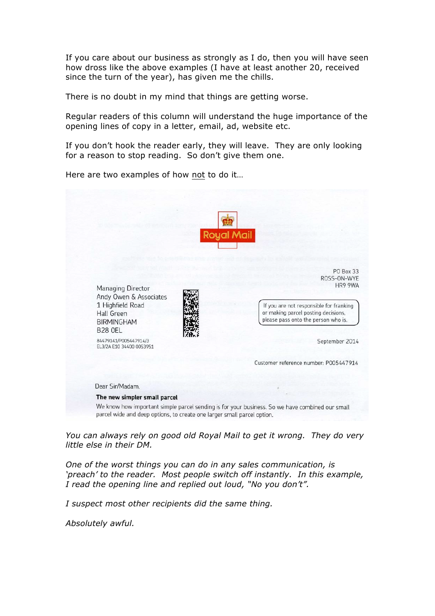If you care about our business as strongly as I do, then you will have seen how dross like the above examples (I have at least another 20, received since the turn of the year), has given me the chills.

There is no doubt in my mind that things are getting worse.

Regular readers of this column will understand the huge importance of the opening lines of copy in a letter, email, ad, website etc.

If you don't hook the reader early, they will leave. They are only looking for a reason to stop reading. So don't give them one.

Here are two examples of how not to do it…

|                                                                                                         | <b>Royal Mail</b>                                                                                                     |
|---------------------------------------------------------------------------------------------------------|-----------------------------------------------------------------------------------------------------------------------|
|                                                                                                         | PO Box 33<br>ROSS-ON-WYE                                                                                              |
| Managing Director<br>Andy Owen & Associates                                                             | HR9 9WA                                                                                                               |
| 1 Highfield Road<br>Hall Green<br><b>BIRMINGHAM</b><br><b>B28 OEL</b>                                   | If you are not responsible for franking<br>or making parcel posting decisions,<br>please pass onto the person who is. |
| 84479141/P005447914/3<br>EL3/2A E10 34400 0053951                                                       | September 2014                                                                                                        |
|                                                                                                         | Customer reference number: P005447914                                                                                 |
| Dear Sir/Madam.                                                                                         |                                                                                                                       |
| The new simpler small parcel<br>parcel wide and deep options, to create one larger small parcel option. | We know how important simple parcel sending is for your business. So we have combined our small                       |

*You can always rely on good old Royal Mail to get it wrong. They do very little else in their DM.* 

*One of the worst things you can do in any sales communication, is 'preach' to the reader. Most people switch off instantly. In this example, I read the opening line and replied out loud, "No you don't".*

*I suspect most other recipients did the same thing.* 

*Absolutely awful.*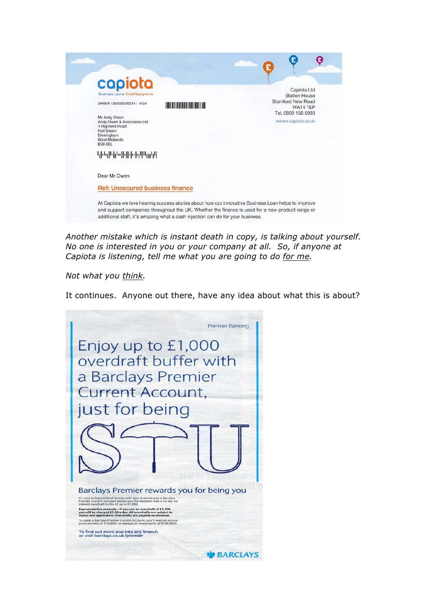| capiota                                                                                                                                     |                                                            |
|---------------------------------------------------------------------------------------------------------------------------------------------|------------------------------------------------------------|
| <b>Business Loons Small Repayments</b>                                                                                                      | Capiota Ltd<br><b>Station House</b>                        |
| 34400A / 906589599214 / 4124                                                                                                                | Stamford New Road<br><b>WA14 1EP</b><br>Tel. 0800 158 5993 |
| Mr Andy Owen<br>Andy Owen & Associates Ltd<br>1 Highfield Road<br><b>Hall Green</b><br>Birmingham<br><b>West Midlands</b><br><b>B28 0EL</b> | wwww.capiota.co.uk                                         |
|                                                                                                                                             |                                                            |
| Dear Mr Owen                                                                                                                                |                                                            |
| <b>Ref: Unsecured business finance</b>                                                                                                      |                                                            |

*Another mistake which is instant death in copy, is talking about yourself. No one is interested in you or your company at all. So, if anyone at Capiota is listening, tell me what you are going to do for me.* 

*Not what you think.* 

It continues. Anyone out there, have any idea about what this is about?

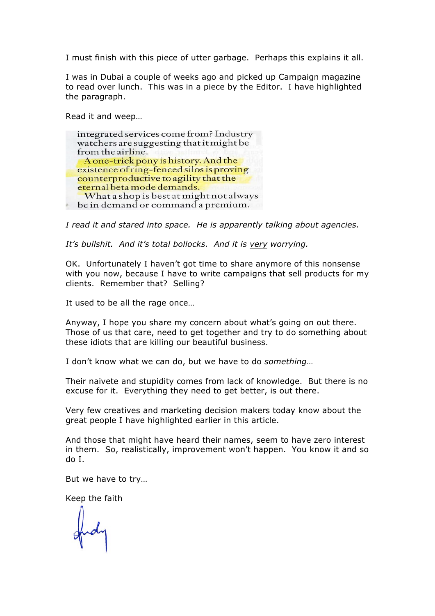I must finish with this piece of utter garbage. Perhaps this explains it all.

I was in Dubai a couple of weeks ago and picked up Campaign magazine to read over lunch. This was in a piece by the Editor. I have highlighted the paragraph.

Read it and weep…



*I read it and stared into space. He is apparently talking about agencies.*

*It's bullshit. And it's total bollocks. And it is very worrying.*

OK. Unfortunately I haven't got time to share anymore of this nonsense with you now, because I have to write campaigns that sell products for my clients. Remember that? Selling?

It used to be all the rage once…

Anyway, I hope you share my concern about what's going on out there. Those of us that care, need to get together and try to do something about these idiots that are killing our beautiful business.

I don't know what we can do, but we have to do *something*…

Their naivete and stupidity comes from lack of knowledge. But there is no excuse for it. Everything they need to get better, is out there.

Very few creatives and marketing decision makers today know about the great people I have highlighted earlier in this article.

And those that might have heard their names, seem to have zero interest in them. So, realistically, improvement won't happen. You know it and so do I.

But we have to try…

Keep the faith